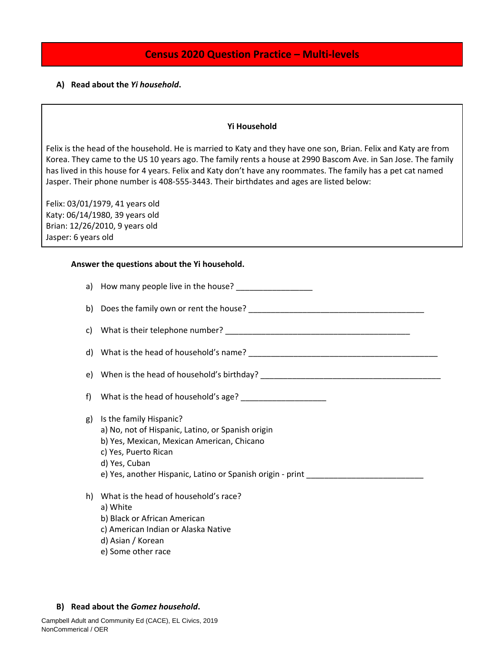# **Census 2020 Question Practice – Multi-levels**

# **A) Read about the** *Yi household***.**

### **Yi Household**

Felix is the head of the household. He is married to Katy and they have one son, Brian. Felix and Katy are from Korea. They came to the US 10 years ago. The family rents a house at 2990 Bascom Ave. in San Jose. The family has lived in this house for 4 years. Felix and Katy don't have any roommates. The family has a pet cat named Jasper. Their phone number is 408-555-3443. Their birthdates and ages are listed below:

Felix: 03/01/1979, 41 years old Katy: 06/14/1980, 39 years old Brian: 12/26/2010, 9 years old Jasper: 6 years old

### **Answer the questions about the Yi household.**

|    | a) How many people live in the house? ____________________                                                                                                                                                                        |
|----|-----------------------------------------------------------------------------------------------------------------------------------------------------------------------------------------------------------------------------------|
|    |                                                                                                                                                                                                                                   |
| C) |                                                                                                                                                                                                                                   |
|    |                                                                                                                                                                                                                                   |
|    | e) When is the head of household's birthday? ___________________________________                                                                                                                                                  |
| f) |                                                                                                                                                                                                                                   |
| g) | Is the family Hispanic?<br>a) No, not of Hispanic, Latino, or Spanish origin<br>b) Yes, Mexican, Mexican American, Chicano<br>c) Yes, Puerto Rican<br>d) Yes, Cuban<br>e) Yes, another Hispanic, Latino or Spanish origin - print |
| h) | What is the head of household's race?<br>a) White<br>b) Black or African American<br>c) American Indian or Alaska Native<br>d) Asian / Korean<br>e) Some other race                                                               |

### **B) Read about the** *Gomez household***.**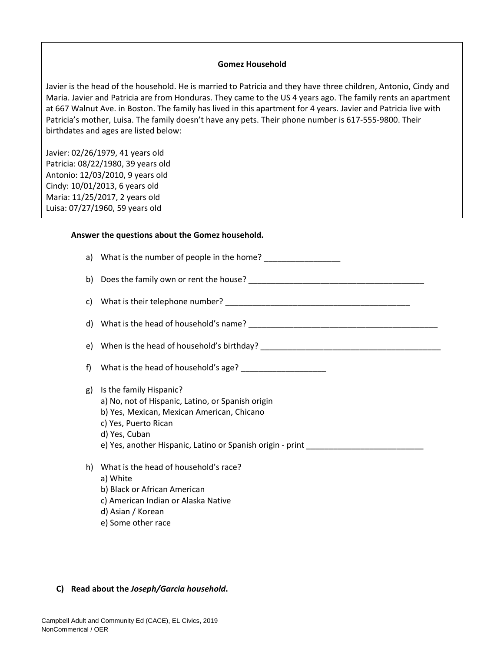### **Gomez Household**

Javier is the head of the household. He is married to Patricia and they have three children, Antonio, Cindy and Maria. Javier and Patricia are from Honduras. They came to the US 4 years ago. The family rents an apartment at 667 Walnut Ave. in Boston. The family has lived in this apartment for 4 years. Javier and Patricia live with Patricia's mother, Luisa. The family doesn't have any pets. Their phone number is 617-555-9800. Their birthdates and ages are listed below:

Javier: 02/26/1979, 41 years old Patricia: 08/22/1980, 39 years old Antonio: 12/03/2010, 9 years old Cindy: 10/01/2013, 6 years old Maria: 11/25/2017, 2 years old Luisa: 07/27/1960, 59 years old

### **Answer the questions about the Gomez household.**

|    | a) What is the number of people in the home? _____________________                                                                                                  |
|----|---------------------------------------------------------------------------------------------------------------------------------------------------------------------|
|    |                                                                                                                                                                     |
|    |                                                                                                                                                                     |
|    |                                                                                                                                                                     |
|    | e) When is the head of household's birthday? ___________________________________                                                                                    |
| f) |                                                                                                                                                                     |
| g) | Is the family Hispanic?<br>a) No, not of Hispanic, Latino, or Spanish origin<br>b) Yes, Mexican, Mexican American, Chicano<br>c) Yes, Puerto Rican<br>d) Yes, Cuban |
| h) | What is the head of household's race?<br>a) White<br>b) Black or African American<br>c) American Indian or Alaska Native<br>d) Asian / Korean<br>e) Some other race |

### **C) Read about the** *Joseph/Garcia household***.**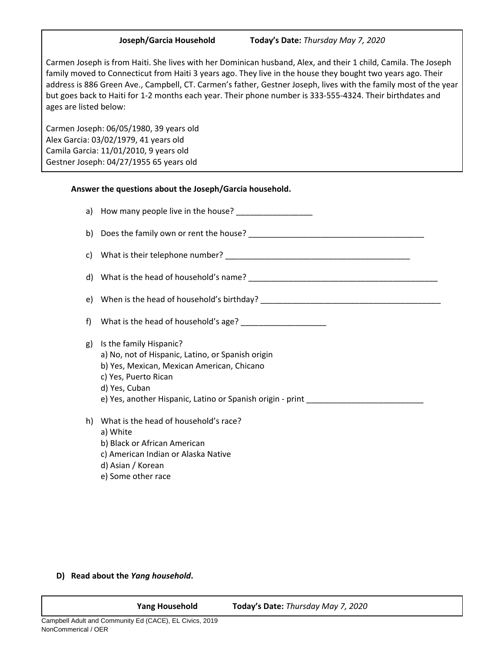**Joseph/Garcia Household Today's Date:** *Thursday May 7, 2020*

Carmen Joseph is from Haiti. She lives with her Dominican husband, Alex, and their 1 child, Camila. The Joseph family moved to Connecticut from Haiti 3 years ago. They live in the house they bought two years ago. Their address is 886 Green Ave., Campbell, CT. Carmen's father, Gestner Joseph, lives with the family most of the year but goes back to Haiti for 1-2 months each year. Their phone number is 333-555-4324. Their birthdates and ages are listed below:

Carmen Joseph: 06/05/1980, 39 years old Alex Garcia: 03/02/1979, 41 years old Camila Garcia: 11/01/2010, 9 years old Gestner Joseph: 04/27/1955 65 years old

# **Answer the questions about the Joseph/Garcia household.**

|    | e) When is the head of household's birthday? ___________________________________                                                                                                                                                                        |
|----|---------------------------------------------------------------------------------------------------------------------------------------------------------------------------------------------------------------------------------------------------------|
| f) |                                                                                                                                                                                                                                                         |
| g) | Is the family Hispanic?<br>a) No, not of Hispanic, Latino, or Spanish origin<br>b) Yes, Mexican, Mexican American, Chicano<br>c) Yes, Puerto Rican<br>d) Yes, Cuban<br>e) Yes, another Hispanic, Latino or Spanish origin - print _____________________ |
| h) | What is the head of household's race?<br>a) White<br>b) Black or African American<br>c) American Indian or Alaska Native<br>d) Asian / Korean<br>e) Some other race                                                                                     |

# **D) Read about the** *Yang household***.**

**Yang Household Today's Date:** *Thursday May 7, 2020*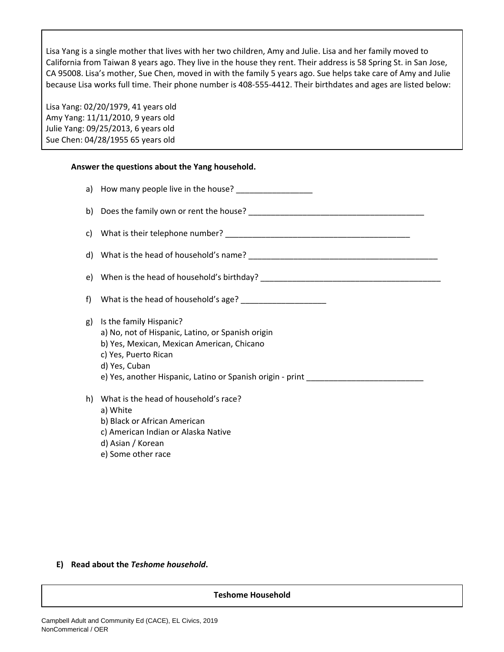Lisa Yang is a single mother that lives with her two children, Amy and Julie. Lisa and her family moved to California from Taiwan 8 years ago. They live in the house they rent. Their address is 58 Spring St. in San Jose, CA 95008. Lisa's mother, Sue Chen, moved in with the family 5 years ago. Sue helps take care of Amy and Julie because Lisa works full time. Their phone number is 408-555-4412. Their birthdates and ages are listed below:

Lisa Yang: 02/20/1979, 41 years old Amy Yang: 11/11/2010, 9 years old Julie Yang: 09/25/2013, 6 years old Sue Chen: 04/28/1955 65 years old

### **Answer the questions about the Yang household.**

| g) | Is the family Hispanic?<br>a) No, not of Hispanic, Latino, or Spanish origin<br>b) Yes, Mexican, Mexican American, Chicano<br>c) Yes, Puerto Rican<br>d) Yes, Cuban |
|----|---------------------------------------------------------------------------------------------------------------------------------------------------------------------|
| h) | What is the head of household's race?<br>a) White<br>b) Black or African American<br>c) American Indian or Alaska Native<br>d) Asian / Korean<br>e) Some other race |

**E) Read about the** *Teshome household***.**

### **Teshome Household**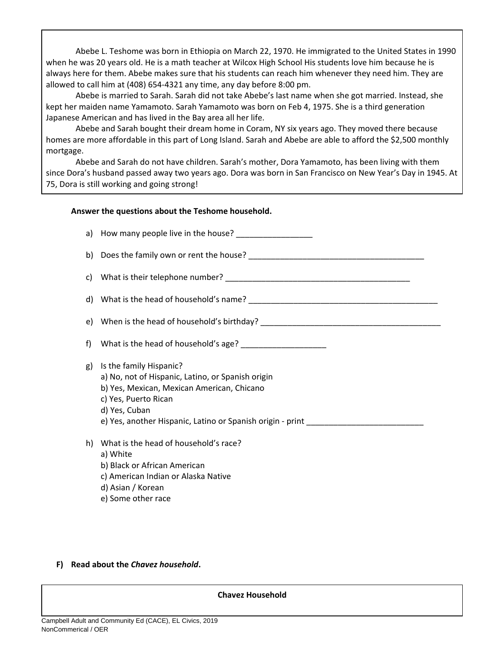Abebe L. Teshome was born in Ethiopia on March 22, 1970. He immigrated to the United States in 1990 when he was 20 years old. He is a math teacher at Wilcox High School His students love him because he is always here for them. Abebe makes sure that his students can reach him whenever they need him. They are allowed to call him at (408) 654-4321 any time, any day before 8:00 pm.

Abebe is married to Sarah. Sarah did not take Abebe's last name when she got married. Instead, she kept her maiden name Yamamoto. Sarah Yamamoto was born on Feb 4, 1975. She is a third generation Japanese American and has lived in the Bay area all her life.

Abebe and Sarah bought their dream home in Coram, NY six years ago. They moved there because homes are more affordable in this part of Long Island. Sarah and Abebe are able to afford the \$2,500 monthly mortgage.

Abebe and Sarah do not have children. Sarah's mother, Dora Yamamoto, has been living with them since Dora's husband passed away two years ago. Dora was born in San Francisco on New Year's Day in 1945. At 75, Dora is still working and going strong!

# **Answer the questions about the Teshome household.**

|    | e) When is the head of household's birthday? ___________________________________                                                                                    |
|----|---------------------------------------------------------------------------------------------------------------------------------------------------------------------|
| f) |                                                                                                                                                                     |
| g) | Is the family Hispanic?<br>a) No, not of Hispanic, Latino, or Spanish origin<br>b) Yes, Mexican, Mexican American, Chicano<br>c) Yes, Puerto Rican<br>d) Yes, Cuban |
| h) | What is the head of household's race?<br>a) White<br>b) Black or African American<br>c) American Indian or Alaska Native<br>d) Asian / Korean<br>e) Some other race |

# **F) Read about the** *Chavez household***.**

**Chavez Household**